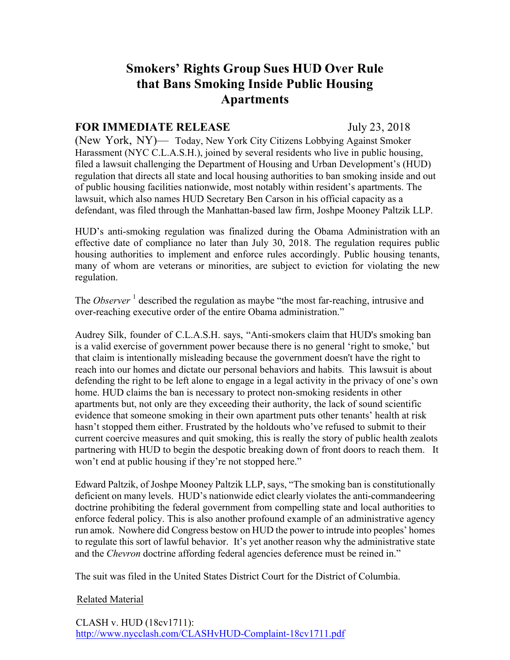## **Smokers' Rights Group Sues HUD Over Rule that Bans Smoking Inside Public Housing Apartments**

## **FOR IMMEDIATE RELEASE** July 23, 2018

(New York, NY)— Today, New York City Citizens Lobbying Against Smoker Harassment (NYC C.L.A.S.H.), joined by several residents who live in public housing, filed a lawsuit challenging the Department of Housing and Urban Development's (HUD) regulation that directs all state and local housing authorities to ban smoking inside and out of public housing facilities nationwide, most notably within resident's apartments. The lawsuit, which also names HUD Secretary Ben Carson in his official capacity as a defendant, was filed through the Manhattan-based law firm, Joshpe Mooney Paltzik LLP.

HUD's anti-smoking regulation was finalized during the Obama Administration with an effective date of compliance no later than July 30, 2018. The regulation requires public housing authorities to implement and enforce rules accordingly. Public housing tenants, many of whom are veterans or minorities, are subject to eviction for violating the new regulation.

The *Observer*<sup>1</sup> described the regulation as maybe "the most far-reaching, intrusive and over-reaching executive order of the entire Obama administration."

Audrey Silk, founder of C.L.A.S.H. says, "Anti-smokers claim that HUD's smoking ban is a valid exercise of government power because there is no general 'right to smoke,' but that claim is intentionally misleading because the government doesn't have the right to reach into our homes and dictate our personal behaviors and habits*.* This lawsuit is about defending the right to be left alone to engage in a legal activity in the privacy of one's own home. HUD claims the ban is necessary to protect non-smoking residents in other apartments but, not only are they exceeding their authority, the lack of sound scientific evidence that someone smoking in their own apartment puts other tenants' health at risk hasn't stopped them either. Frustrated by the holdouts who've refused to submit to their current coercive measures and quit smoking, this is really the story of public health zealots partnering with HUD to begin the despotic breaking down of front doors to reach them. It won't end at public housing if they're not stopped here."

Edward Paltzik, of Joshpe Mooney Paltzik LLP, says, "The smoking ban is constitutionally deficient on many levels. HUD's nationwide edict clearly violates the anti-commandeering doctrine prohibiting the federal government from compelling state and local authorities to enforce federal policy. This is also another profound example of an administrative agency run amok. Nowhere did Congress bestow on HUD the power to intrude into peoples' homes to regulate this sort of lawful behavior. It's yet another reason why the administrative state and the *Chevron* doctrine affording federal agencies deference must be reined in."

The suit was filed in the United States District Court for the District of Columbia.

## Related Material